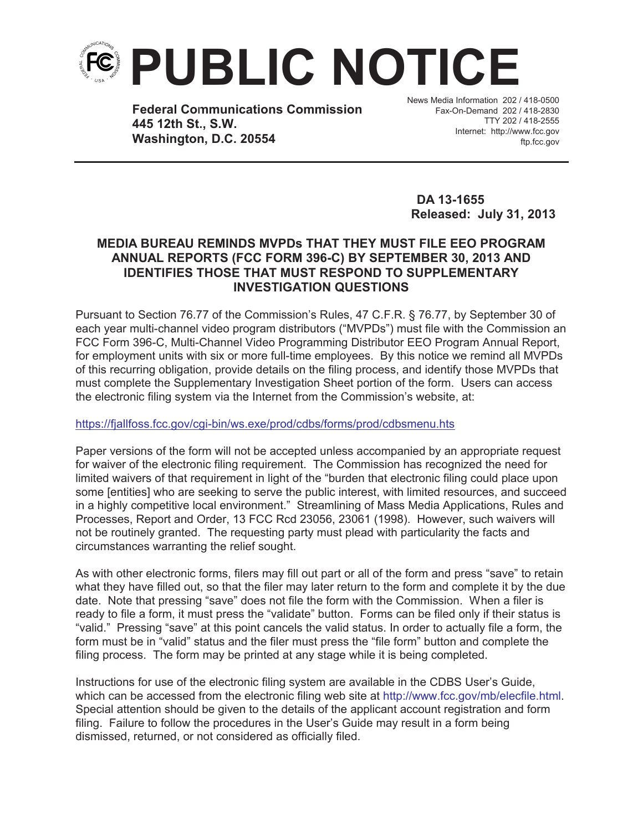

**Federal Communications Commission 445 12th St., S.W. Washington, D.C. 20554**

News Media Information 202 / 418-0500 Fax-On-Demand 202 / 418-2830 TTY 202 / 418-2555 Internet: http://www.fcc.gov ftp.fcc.gov

**DA 13-1655 Released: July 31, 2013** 

## **MEDIA BUREAU REMINDS MVPDs THAT THEY MUST FILE EEO PROGRAM ANNUAL REPORTS (FCC FORM 396-C) BY SEPTEMBER 30, 2013 AND IDENTIFIES THOSE THAT MUST RESPOND TO SUPPLEMENTARY INVESTIGATION QUESTIONS**

Pursuant to Section 76.77 of the Commission's Rules, 47 C.F.R. § 76.77, by September 30 of each year multi-channel video program distributors ("MVPDs") must file with the Commission an FCC Form 396-C, Multi-Channel Video Programming Distributor EEO Program Annual Report, for employment units with six or more full-time employees. By this notice we remind all MVPDs of this recurring obligation, provide details on the filing process, and identify those MVPDs that must complete the Supplementary Investigation Sheet portion of the form. Users can access the electronic filing system via the Internet from the Commission's website, at:

## https://fjallfoss.fcc.gov/cgi-bin/ws.exe/prod/cdbs/forms/prod/cdbsmenu.hts

Paper versions of the form will not be accepted unless accompanied by an appropriate request for waiver of the electronic filing requirement. The Commission has recognized the need for limited waivers of that requirement in light of the "burden that electronic filing could place upon some [entities] who are seeking to serve the public interest, with limited resources, and succeed in a highly competitive local environment." Streamlining of Mass Media Applications, Rules and Processes, Report and Order, 13 FCC Rcd 23056, 23061 (1998). However, such waivers will not be routinely granted. The requesting party must plead with particularity the facts and circumstances warranting the relief sought.

As with other electronic forms, filers may fill out part or all of the form and press "save" to retain what they have filled out, so that the filer may later return to the form and complete it by the due date. Note that pressing "save" does not file the form with the Commission. When a filer is ready to file a form, it must press the "validate" button. Forms can be filed only if their status is "valid." Pressing "save" at this point cancels the valid status. In order to actually file a form, the form must be in "valid" status and the filer must press the "file form" button and complete the filing process. The form may be printed at any stage while it is being completed.

Instructions for use of the electronic filing system are available in the CDBS User's Guide, which can be accessed from the electronic filing web site at http://www.fcc.gov/mb/elecfile.html. Special attention should be given to the details of the applicant account registration and form filing. Failure to follow the procedures in the User's Guide may result in a form being dismissed, returned, or not considered as officially filed.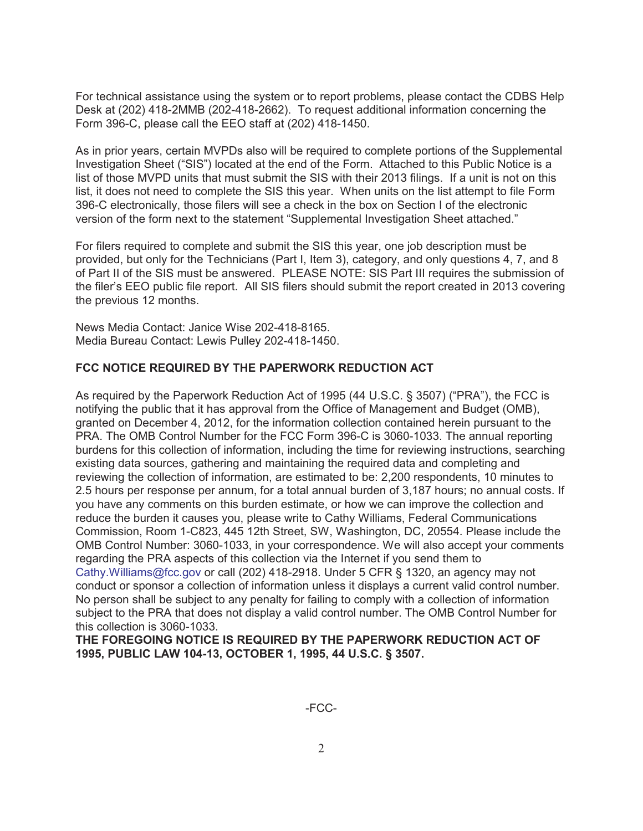For technical assistance using the system or to report problems, please contact the CDBS Help Desk at (202) 418-2MMB (202-418-2662). To request additional information concerning the Form 396-C, please call the EEO staff at (202) 418-1450.

As in prior years, certain MVPDs also will be required to complete portions of the Supplemental Investigation Sheet ("SIS") located at the end of the Form. Attached to this Public Notice is a list of those MVPD units that must submit the SIS with their 2013 filings. If a unit is not on this list, it does not need to complete the SIS this year. When units on the list attempt to file Form 396-C electronically, those filers will see a check in the box on Section I of the electronic version of the form next to the statement "Supplemental Investigation Sheet attached."

For filers required to complete and submit the SIS this year, one job description must be provided, but only for the Technicians (Part I, Item 3), category, and only questions 4, 7, and 8 of Part II of the SIS must be answered. PLEASE NOTE: SIS Part III requires the submission of the filer's EEO public file report. All SIS filers should submit the report created in 2013 covering the previous 12 months.

News Media Contact: Janice Wise 202-418-8165. Media Bureau Contact: Lewis Pulley 202-418-1450.

## **FCC NOTICE REQUIRED BY THE PAPERWORK REDUCTION ACT**

As required by the Paperwork Reduction Act of 1995 (44 U.S.C. § 3507) ("PRA"), the FCC is notifying the public that it has approval from the Office of Management and Budget (OMB), granted on December 4, 2012, for the information collection contained herein pursuant to the PRA. The OMB Control Number for the FCC Form 396-C is 3060-1033. The annual reporting burdens for this collection of information, including the time for reviewing instructions, searching existing data sources, gathering and maintaining the required data and completing and reviewing the collection of information, are estimated to be: 2,200 respondents, 10 minutes to 2.5 hours per response per annum, for a total annual burden of 3,187 hours; no annual costs. If you have any comments on this burden estimate, or how we can improve the collection and reduce the burden it causes you, please write to Cathy Williams, Federal Communications Commission, Room 1-C823, 445 12th Street, SW, Washington, DC, 20554. Please include the OMB Control Number: 3060-1033, in your correspondence. We will also accept your comments regarding the PRA aspects of this collection via the Internet if you send them to Cathy.Williams@fcc.gov or call (202) 418-2918. Under 5 CFR § 1320, an agency may not conduct or sponsor a collection of information unless it displays a current valid control number. No person shall be subject to any penalty for failing to comply with a collection of information subject to the PRA that does not display a valid control number. The OMB Control Number for this collection is 3060-1033.

**THE FOREGOING NOTICE IS REQUIRED BY THE PAPERWORK REDUCTION ACT OF 1995, PUBLIC LAW 104-13, OCTOBER 1, 1995, 44 U.S.C. § 3507.**

-FCC-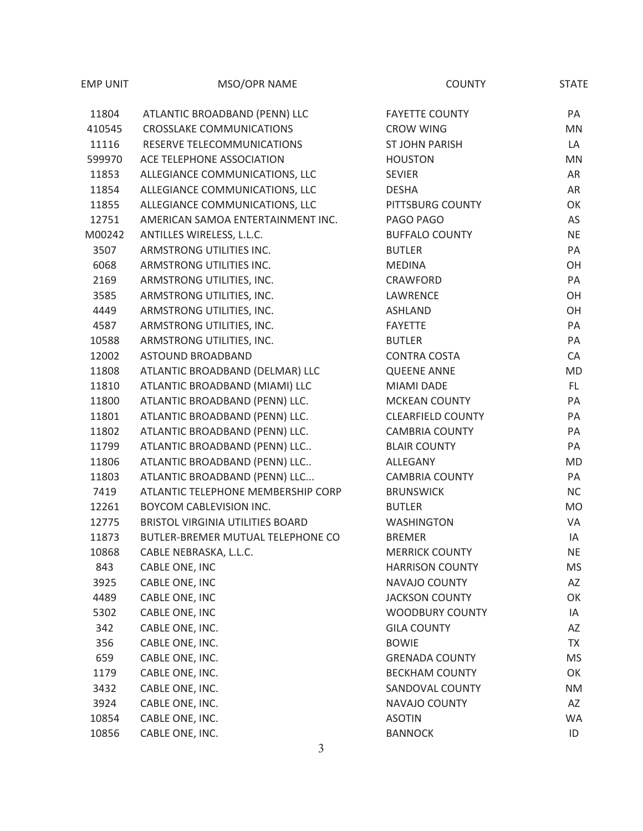| <b>EMP UNIT</b> | MSO/OPR NAME                       | <b>COUNTY</b>            | <b>STATE</b> |
|-----------------|------------------------------------|--------------------------|--------------|
| 11804           | ATLANTIC BROADBAND (PENN) LLC      | <b>FAYETTE COUNTY</b>    | PA           |
| 410545          | <b>CROSSLAKE COMMUNICATIONS</b>    | <b>CROW WING</b>         | <b>MN</b>    |
| 11116           | RESERVE TELECOMMUNICATIONS         | <b>ST JOHN PARISH</b>    | LA           |
| 599970          | ACE TELEPHONE ASSOCIATION          | <b>HOUSTON</b>           | MN           |
| 11853           | ALLEGIANCE COMMUNICATIONS, LLC     | <b>SEVIER</b>            | AR           |
| 11854           | ALLEGIANCE COMMUNICATIONS, LLC     | <b>DESHA</b>             | AR           |
| 11855           | ALLEGIANCE COMMUNICATIONS, LLC     | PITTSBURG COUNTY         | OK           |
| 12751           | AMERICAN SAMOA ENTERTAINMENT INC.  | PAGO PAGO                | AS           |
| M00242          | ANTILLES WIRELESS, L.L.C.          | <b>BUFFALO COUNTY</b>    | <b>NE</b>    |
| 3507            | ARMSTRONG UTILITIES INC.           | <b>BUTLER</b>            | PA           |
| 6068            | ARMSTRONG UTILITIES INC.           | <b>MEDINA</b>            | OH           |
| 2169            | ARMSTRONG UTILITIES, INC.          | CRAWFORD                 | PA           |
| 3585            | ARMSTRONG UTILITIES, INC.          | LAWRENCE                 | OH           |
| 4449            | ARMSTRONG UTILITIES, INC.          | ASHLAND                  | OH           |
| 4587            | ARMSTRONG UTILITIES, INC.          | <b>FAYETTE</b>           | PA           |
| 10588           | ARMSTRONG UTILITIES, INC.          | <b>BUTLER</b>            | PA           |
| 12002           | ASTOUND BROADBAND                  | <b>CONTRA COSTA</b>      | CA           |
| 11808           | ATLANTIC BROADBAND (DELMAR) LLC    | <b>QUEENE ANNE</b>       | <b>MD</b>    |
| 11810           | ATLANTIC BROADBAND (MIAMI) LLC     | <b>MIAMI DADE</b>        | FL.          |
| 11800           | ATLANTIC BROADBAND (PENN) LLC.     | <b>MCKEAN COUNTY</b>     | PA           |
| 11801           | ATLANTIC BROADBAND (PENN) LLC.     | <b>CLEARFIELD COUNTY</b> | PA           |
| 11802           | ATLANTIC BROADBAND (PENN) LLC.     | <b>CAMBRIA COUNTY</b>    | PA           |
| 11799           | ATLANTIC BROADBAND (PENN) LLC      | <b>BLAIR COUNTY</b>      | PA           |
| 11806           | ATLANTIC BROADBAND (PENN) LLC      | ALLEGANY                 | <b>MD</b>    |
| 11803           | ATLANTIC BROADBAND (PENN) LLC      | <b>CAMBRIA COUNTY</b>    | PA           |
| 7419            | ATLANTIC TELEPHONE MEMBERSHIP CORP | <b>BRUNSWICK</b>         | <b>NC</b>    |
| 12261           | <b>BOYCOM CABLEVISION INC.</b>     | <b>BUTLER</b>            | <b>MO</b>    |
| 12775           | BRISTOL VIRGINIA UTILITIES BOARD   | <b>WASHINGTON</b>        | VA           |
| 11873           | BUTLER-BREMER MUTUAL TELEPHONE CO  | <b>BREMER</b>            | IA           |
| 10868           | CABLE NEBRASKA, L.L.C.             | <b>MERRICK COUNTY</b>    | NE.          |
| 843             | CABLE ONE, INC                     | <b>HARRISON COUNTY</b>   | MS           |
| 3925            | CABLE ONE, INC                     | NAVAJO COUNTY            | AZ           |
| 4489            | CABLE ONE, INC                     | <b>JACKSON COUNTY</b>    | OK           |
| 5302            | CABLE ONE, INC                     | <b>WOODBURY COUNTY</b>   | IA           |
| 342             | CABLE ONE, INC.                    | <b>GILA COUNTY</b>       | AZ           |
| 356             | CABLE ONE, INC.                    | <b>BOWIE</b>             | TX           |
| 659             | CABLE ONE, INC.                    | <b>GRENADA COUNTY</b>    | MS           |
| 1179            | CABLE ONE, INC.                    | <b>BECKHAM COUNTY</b>    | OK           |
| 3432            | CABLE ONE, INC.                    | SANDOVAL COUNTY          | ΝM           |
| 3924            | CABLE ONE, INC.                    | NAVAJO COUNTY            | AZ           |
| 10854           | CABLE ONE, INC.                    | <b>ASOTIN</b>            | WA           |
| 10856           | CABLE ONE, INC.                    | <b>BANNOCK</b>           | ID           |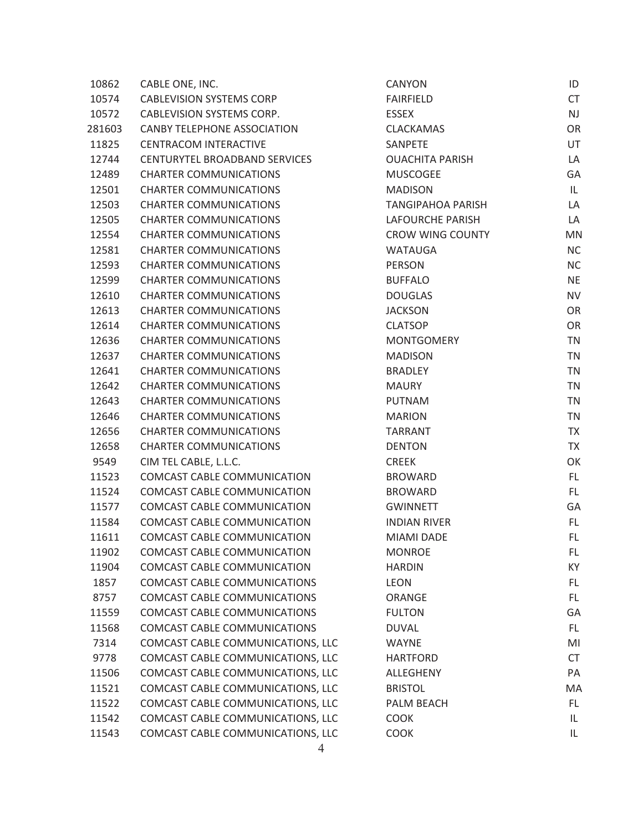| 10862  | CABLE ONE, INC.                     | CANYON                   | ID        |
|--------|-------------------------------------|--------------------------|-----------|
| 10574  | <b>CABLEVISION SYSTEMS CORP</b>     | <b>FAIRFIELD</b>         | <b>CT</b> |
| 10572  | <b>CABLEVISION SYSTEMS CORP.</b>    | <b>ESSEX</b>             | <b>NJ</b> |
| 281603 | <b>CANBY TELEPHONE ASSOCIATION</b>  | <b>CLACKAMAS</b>         | OR        |
| 11825  | <b>CENTRACOM INTERACTIVE</b>        | SANPETE                  | UT        |
| 12744  | CENTURYTEL BROADBAND SERVICES       | <b>OUACHITA PARISH</b>   | LA        |
| 12489  | <b>CHARTER COMMUNICATIONS</b>       | <b>MUSCOGEE</b>          | GA        |
| 12501  | <b>CHARTER COMMUNICATIONS</b>       | <b>MADISON</b>           | IL.       |
| 12503  | <b>CHARTER COMMUNICATIONS</b>       | <b>TANGIPAHOA PARISH</b> | LA        |
| 12505  | <b>CHARTER COMMUNICATIONS</b>       | <b>LAFOURCHE PARISH</b>  | LA        |
| 12554  | <b>CHARTER COMMUNICATIONS</b>       | <b>CROW WING COUNTY</b>  | MN        |
| 12581  | <b>CHARTER COMMUNICATIONS</b>       | <b>WATAUGA</b>           | <b>NC</b> |
| 12593  | <b>CHARTER COMMUNICATIONS</b>       | PERSON                   | <b>NC</b> |
| 12599  | <b>CHARTER COMMUNICATIONS</b>       | <b>BUFFALO</b>           | <b>NE</b> |
| 12610  | <b>CHARTER COMMUNICATIONS</b>       | <b>DOUGLAS</b>           | <b>NV</b> |
| 12613  | <b>CHARTER COMMUNICATIONS</b>       | <b>JACKSON</b>           | OR        |
| 12614  | <b>CHARTER COMMUNICATIONS</b>       | <b>CLATSOP</b>           | OR        |
| 12636  | <b>CHARTER COMMUNICATIONS</b>       | <b>MONTGOMERY</b>        | <b>TN</b> |
| 12637  | <b>CHARTER COMMUNICATIONS</b>       | <b>MADISON</b>           | <b>TN</b> |
| 12641  | <b>CHARTER COMMUNICATIONS</b>       | <b>BRADLEY</b>           | <b>TN</b> |
| 12642  | <b>CHARTER COMMUNICATIONS</b>       | <b>MAURY</b>             | <b>TN</b> |
| 12643  | <b>CHARTER COMMUNICATIONS</b>       | <b>PUTNAM</b>            | <b>TN</b> |
| 12646  | <b>CHARTER COMMUNICATIONS</b>       | <b>MARION</b>            | <b>TN</b> |
| 12656  | <b>CHARTER COMMUNICATIONS</b>       | <b>TARRANT</b>           | <b>TX</b> |
| 12658  | <b>CHARTER COMMUNICATIONS</b>       | <b>DENTON</b>            | <b>TX</b> |
| 9549   | CIM TEL CABLE, L.L.C.               | <b>CREEK</b>             | OK        |
| 11523  | COMCAST CABLE COMMUNICATION         | <b>BROWARD</b>           | FL.       |
| 11524  | COMCAST CABLE COMMUNICATION         | <b>BROWARD</b>           | FL.       |
| 11577  | COMCAST CABLE COMMUNICATION         | <b>GWINNETT</b>          | GA        |
| 11584  | COMCAST CABLE COMMUNICATION         | <b>INDIAN RIVER</b>      | FL.       |
| 11611  | COMCAST CABLE COMMUNICATION         | <b>MIAMI DADE</b>        | FL.       |
| 11902  | <b>COMCAST CABLE COMMUNICATION</b>  | <b>MONROE</b>            | FL.       |
| 11904  | <b>COMCAST CABLE COMMUNICATION</b>  | <b>HARDIN</b>            | KY        |
| 1857   | <b>COMCAST CABLE COMMUNICATIONS</b> | <b>LEON</b>              | FL.       |
| 8757   | COMCAST CABLE COMMUNICATIONS        | ORANGE                   | FL.       |
| 11559  | <b>COMCAST CABLE COMMUNICATIONS</b> | <b>FULTON</b>            | GA        |
| 11568  | COMCAST CABLE COMMUNICATIONS        | <b>DUVAL</b>             | FL.       |
| 7314   | COMCAST CABLE COMMUNICATIONS, LLC   | <b>WAYNE</b>             | MI        |
| 9778   | COMCAST CABLE COMMUNICATIONS, LLC   | <b>HARTFORD</b>          | <b>CT</b> |
| 11506  | COMCAST CABLE COMMUNICATIONS, LLC   | ALLEGHENY                | PA        |
| 11521  | COMCAST CABLE COMMUNICATIONS, LLC   | <b>BRISTOL</b>           | MA        |
| 11522  | COMCAST CABLE COMMUNICATIONS, LLC   | PALM BEACH               | FL.       |
| 11542  | COMCAST CABLE COMMUNICATIONS, LLC   | <b>COOK</b>              | IL        |
| 11543  | COMCAST CABLE COMMUNICATIONS, LLC   | <b>COOK</b>              | IL        |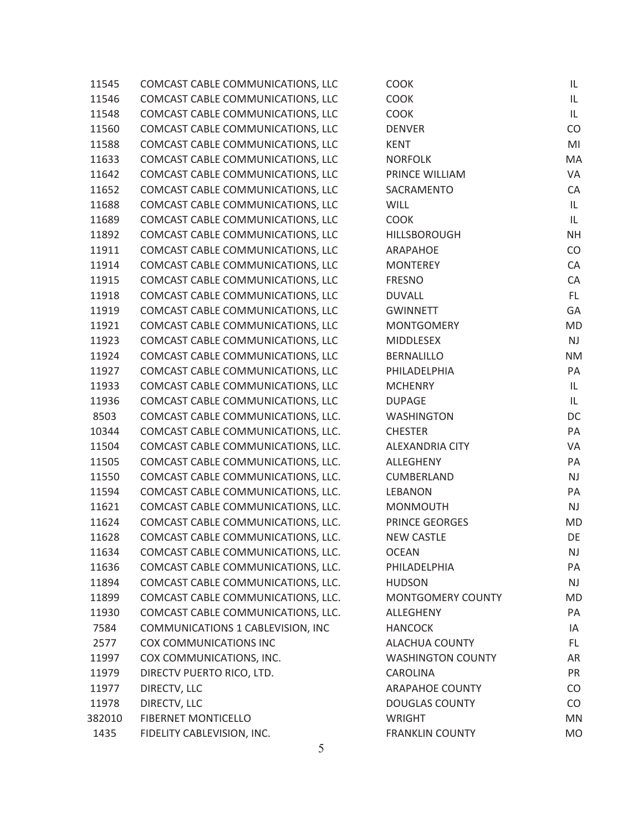| 11545  | COMCAST CABLE COMMUNICATIONS, LLC  | <b>COOK</b>              | IL.       |
|--------|------------------------------------|--------------------------|-----------|
| 11546  | COMCAST CABLE COMMUNICATIONS, LLC  | <b>COOK</b>              | IL.       |
| 11548  | COMCAST CABLE COMMUNICATIONS, LLC  | <b>COOK</b>              | IL        |
| 11560  | COMCAST CABLE COMMUNICATIONS, LLC  | <b>DENVER</b>            | CO        |
| 11588  | COMCAST CABLE COMMUNICATIONS, LLC  | <b>KENT</b>              | MI        |
| 11633  | COMCAST CABLE COMMUNICATIONS, LLC  | <b>NORFOLK</b>           | MA        |
| 11642  | COMCAST CABLE COMMUNICATIONS, LLC  | PRINCE WILLIAM           | VA        |
| 11652  | COMCAST CABLE COMMUNICATIONS, LLC  | SACRAMENTO               | CA        |
| 11688  | COMCAST CABLE COMMUNICATIONS, LLC  | <b>WILL</b>              | IL        |
| 11689  | COMCAST CABLE COMMUNICATIONS, LLC  | <b>COOK</b>              | IL        |
| 11892  | COMCAST CABLE COMMUNICATIONS, LLC  | HILLSBOROUGH             | <b>NH</b> |
| 11911  | COMCAST CABLE COMMUNICATIONS, LLC  | ARAPAHOE                 | CO        |
| 11914  | COMCAST CABLE COMMUNICATIONS, LLC  | <b>MONTEREY</b>          | CA        |
| 11915  | COMCAST CABLE COMMUNICATIONS, LLC  | <b>FRESNO</b>            | CA        |
| 11918  | COMCAST CABLE COMMUNICATIONS, LLC  | <b>DUVALL</b>            | FL.       |
| 11919  | COMCAST CABLE COMMUNICATIONS, LLC  | <b>GWINNETT</b>          | GA        |
| 11921  | COMCAST CABLE COMMUNICATIONS, LLC  | <b>MONTGOMERY</b>        | <b>MD</b> |
| 11923  | COMCAST CABLE COMMUNICATIONS, LLC  | <b>MIDDLESEX</b>         | NJ        |
| 11924  | COMCAST CABLE COMMUNICATIONS, LLC  | <b>BERNALILLO</b>        | <b>NM</b> |
| 11927  | COMCAST CABLE COMMUNICATIONS, LLC  | PHILADELPHIA             | PA        |
| 11933  | COMCAST CABLE COMMUNICATIONS, LLC  | <b>MCHENRY</b>           | IL        |
| 11936  | COMCAST CABLE COMMUNICATIONS, LLC  | <b>DUPAGE</b>            | IL        |
| 8503   | COMCAST CABLE COMMUNICATIONS, LLC. | <b>WASHINGTON</b>        | DC        |
| 10344  | COMCAST CABLE COMMUNICATIONS, LLC. | <b>CHESTER</b>           | PA        |
| 11504  | COMCAST CABLE COMMUNICATIONS, LLC. | <b>ALEXANDRIA CITY</b>   | VA        |
| 11505  | COMCAST CABLE COMMUNICATIONS, LLC. | ALLEGHENY                | PA        |
| 11550  | COMCAST CABLE COMMUNICATIONS, LLC. | CUMBERLAND               | NJ        |
| 11594  | COMCAST CABLE COMMUNICATIONS, LLC. | <b>LEBANON</b>           | PA        |
| 11621  | COMCAST CABLE COMMUNICATIONS, LLC. | <b>MONMOUTH</b>          | NJ        |
| 11624  | COMCAST CABLE COMMUNICATIONS, LLC. | PRINCE GEORGES           | <b>MD</b> |
| 11628  | COMCAST CABLE COMMUNICATIONS, LLC. | <b>NEW CASTLE</b>        | DE        |
| 11634  | COMCAST CABLE COMMUNICATIONS, LLC. | <b>OCEAN</b>             | <b>NJ</b> |
| 11636  | COMCAST CABLE COMMUNICATIONS, LLC. | PHILADELPHIA             | PA        |
| 11894  | COMCAST CABLE COMMUNICATIONS, LLC. | <b>HUDSON</b>            | <b>NJ</b> |
| 11899  | COMCAST CABLE COMMUNICATIONS, LLC. | MONTGOMERY COUNTY        | <b>MD</b> |
| 11930  | COMCAST CABLE COMMUNICATIONS, LLC. | ALLEGHENY                | PA        |
| 7584   | COMMUNICATIONS 1 CABLEVISION, INC  | <b>HANCOCK</b>           | IA        |
| 2577   | COX COMMUNICATIONS INC             | <b>ALACHUA COUNTY</b>    | FL.       |
| 11997  | COX COMMUNICATIONS, INC.           | <b>WASHINGTON COUNTY</b> | AR        |
| 11979  | DIRECTV PUERTO RICO, LTD.          | CAROLINA                 | PR        |
| 11977  | DIRECTV, LLC                       | <b>ARAPAHOE COUNTY</b>   | CO        |
| 11978  | DIRECTV, LLC                       | <b>DOUGLAS COUNTY</b>    | CO        |
| 382010 | FIBERNET MONTICELLO                | <b>WRIGHT</b>            | <b>MN</b> |
| 1435   | FIDELITY CABLEVISION, INC.         | <b>FRANKLIN COUNTY</b>   | <b>MO</b> |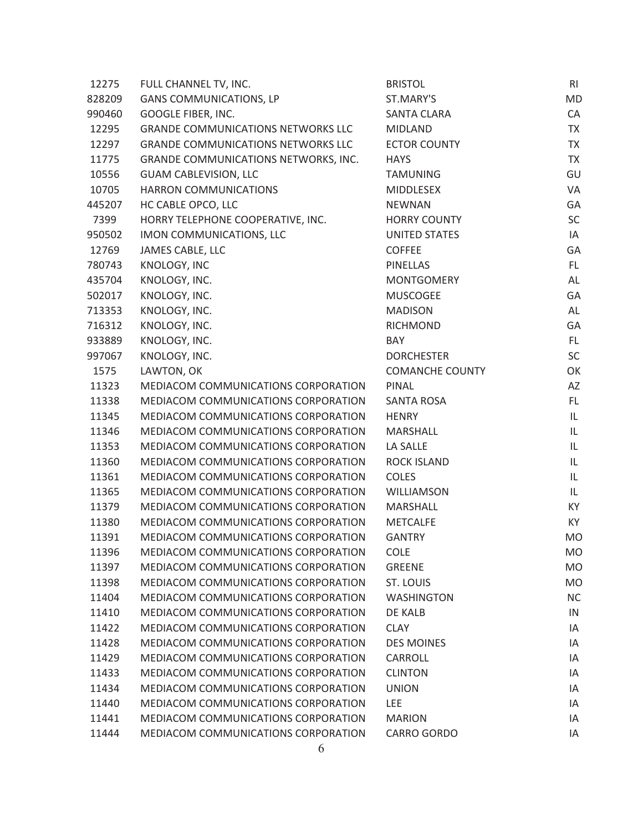| 12275  | FULL CHANNEL TV, INC.                      | <b>BRISTOL</b>         | RI        |
|--------|--------------------------------------------|------------------------|-----------|
| 828209 | <b>GANS COMMUNICATIONS, LP</b>             | ST.MARY'S              | <b>MD</b> |
| 990460 | GOOGLE FIBER, INC.                         | <b>SANTA CLARA</b>     | CA        |
| 12295  | <b>GRANDE COMMUNICATIONS NETWORKS LLC</b>  | <b>MIDLAND</b>         | <b>TX</b> |
| 12297  | <b>GRANDE COMMUNICATIONS NETWORKS LLC</b>  | <b>ECTOR COUNTY</b>    | <b>TX</b> |
| 11775  | GRANDE COMMUNICATIONS NETWORKS, INC.       | <b>HAYS</b>            | <b>TX</b> |
| 10556  | <b>GUAM CABLEVISION, LLC</b>               | <b>TAMUNING</b>        | GU        |
| 10705  | HARRON COMMUNICATIONS                      | <b>MIDDLESEX</b>       | VA        |
| 445207 | HC CABLE OPCO, LLC                         | <b>NEWNAN</b>          | GA        |
| 7399   | HORRY TELEPHONE COOPERATIVE, INC.          | <b>HORRY COUNTY</b>    | SC        |
| 950502 | IMON COMMUNICATIONS, LLC                   | <b>UNITED STATES</b>   | IA        |
| 12769  | JAMES CABLE, LLC                           | <b>COFFEE</b>          | GA        |
| 780743 | KNOLOGY, INC                               | <b>PINELLAS</b>        | FL.       |
| 435704 | KNOLOGY, INC.                              | <b>MONTGOMERY</b>      | AL        |
| 502017 | KNOLOGY, INC.                              | <b>MUSCOGEE</b>        | GA        |
| 713353 | KNOLOGY, INC.                              | <b>MADISON</b>         | AL        |
| 716312 | KNOLOGY, INC.                              | <b>RICHMOND</b>        | GA        |
| 933889 | KNOLOGY, INC.                              | BAY                    | FL.       |
| 997067 | KNOLOGY, INC.                              | <b>DORCHESTER</b>      | SC        |
| 1575   | LAWTON, OK                                 | <b>COMANCHE COUNTY</b> | OK        |
| 11323  | MEDIACOM COMMUNICATIONS CORPORATION        | PINAL                  | AZ        |
| 11338  | <b>MEDIACOM COMMUNICATIONS CORPORATION</b> | <b>SANTA ROSA</b>      | FL.       |
| 11345  | MEDIACOM COMMUNICATIONS CORPORATION        | <b>HENRY</b>           | IL        |
| 11346  | MEDIACOM COMMUNICATIONS CORPORATION        | MARSHALL               | IL        |
| 11353  | MEDIACOM COMMUNICATIONS CORPORATION        | LA SALLE               | IL        |
| 11360  | MEDIACOM COMMUNICATIONS CORPORATION        | <b>ROCK ISLAND</b>     | IL        |
| 11361  | MEDIACOM COMMUNICATIONS CORPORATION        | <b>COLES</b>           | IL        |
| 11365  | MEDIACOM COMMUNICATIONS CORPORATION        | WILLIAMSON             | IL        |
| 11379  | MEDIACOM COMMUNICATIONS CORPORATION        | <b>MARSHALL</b>        | KY        |
| 11380  | MEDIACOM COMMUNICATIONS CORPORATION        | <b>METCALFE</b>        | KY        |
| 11391  | MEDIACOM COMMUNICATIONS CORPORATION        | <b>GANTRY</b>          | <b>MO</b> |
| 11396  | MEDIACOM COMMUNICATIONS CORPORATION        | <b>COLE</b>            | MO        |
| 11397  | MEDIACOM COMMUNICATIONS CORPORATION        | <b>GREENE</b>          | <b>MO</b> |
| 11398  | <b>MEDIACOM COMMUNICATIONS CORPORATION</b> | ST. LOUIS              | <b>MO</b> |
| 11404  | MEDIACOM COMMUNICATIONS CORPORATION        | <b>WASHINGTON</b>      | <b>NC</b> |
| 11410  | MEDIACOM COMMUNICATIONS CORPORATION        | DE KALB                | IN        |
| 11422  | MEDIACOM COMMUNICATIONS CORPORATION        | <b>CLAY</b>            | IA        |
| 11428  | MEDIACOM COMMUNICATIONS CORPORATION        | <b>DES MOINES</b>      | IA        |
| 11429  | MEDIACOM COMMUNICATIONS CORPORATION        | CARROLL                | ΙA        |
| 11433  | MEDIACOM COMMUNICATIONS CORPORATION        | <b>CLINTON</b>         | ΙA        |
| 11434  | MEDIACOM COMMUNICATIONS CORPORATION        | <b>UNION</b>           | IA        |
| 11440  | MEDIACOM COMMUNICATIONS CORPORATION        | <b>LEE</b>             | ΙA        |
| 11441  | MEDIACOM COMMUNICATIONS CORPORATION        | <b>MARION</b>          | IA        |
| 11444  | MEDIACOM COMMUNICATIONS CORPORATION        | <b>CARRO GORDO</b>     | ΙA        |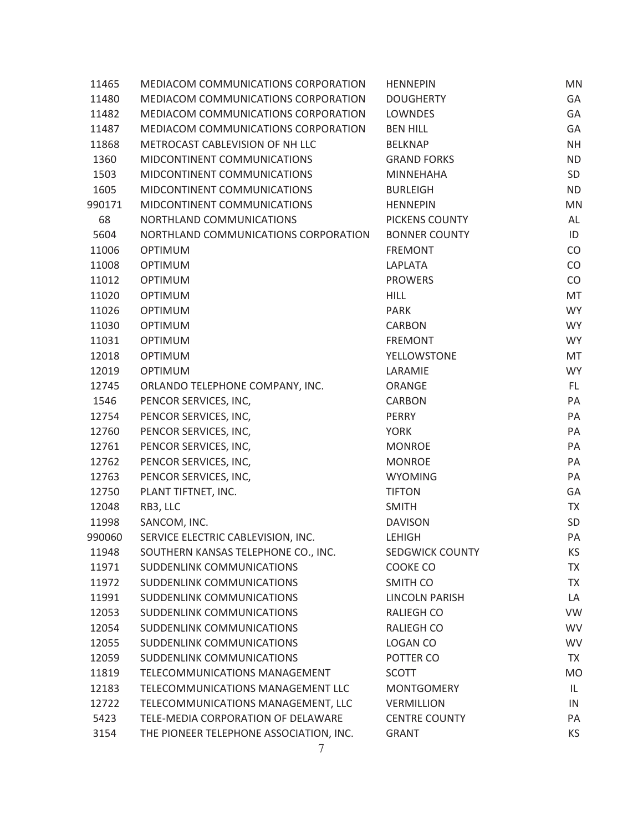| 11465  | MEDIACOM COMMUNICATIONS CORPORATION     | <b>HENNEPIN</b>        | <b>MN</b> |
|--------|-----------------------------------------|------------------------|-----------|
| 11480  | MEDIACOM COMMUNICATIONS CORPORATION     | <b>DOUGHERTY</b>       | GA        |
| 11482  | MEDIACOM COMMUNICATIONS CORPORATION     | <b>LOWNDES</b>         | GA        |
| 11487  | MEDIACOM COMMUNICATIONS CORPORATION     | <b>BEN HILL</b>        | GA        |
| 11868  | METROCAST CABLEVISION OF NH LLC         | <b>BELKNAP</b>         | <b>NH</b> |
| 1360   | MIDCONTINENT COMMUNICATIONS             | <b>GRAND FORKS</b>     | <b>ND</b> |
| 1503   | MIDCONTINENT COMMUNICATIONS             | <b>MINNEHAHA</b>       | SD        |
| 1605   | MIDCONTINENT COMMUNICATIONS             | <b>BURLEIGH</b>        | <b>ND</b> |
| 990171 | MIDCONTINENT COMMUNICATIONS             | <b>HENNEPIN</b>        | MN        |
| 68     | NORTHLAND COMMUNICATIONS                | PICKENS COUNTY         | AL        |
| 5604   | NORTHLAND COMMUNICATIONS CORPORATION    | <b>BONNER COUNTY</b>   | ID        |
| 11006  | <b>OPTIMUM</b>                          | <b>FREMONT</b>         | CO        |
| 11008  | <b>OPTIMUM</b>                          | LAPLATA                | CO        |
| 11012  | <b>OPTIMUM</b>                          | <b>PROWERS</b>         | CO        |
| 11020  | <b>OPTIMUM</b>                          | <b>HILL</b>            | MT        |
| 11026  | <b>OPTIMUM</b>                          | <b>PARK</b>            | <b>WY</b> |
| 11030  | <b>OPTIMUM</b>                          | <b>CARBON</b>          | <b>WY</b> |
| 11031  | <b>OPTIMUM</b>                          | <b>FREMONT</b>         | <b>WY</b> |
| 12018  | <b>OPTIMUM</b>                          | <b>YELLOWSTONE</b>     | MT        |
| 12019  | <b>OPTIMUM</b>                          | LARAMIE                | <b>WY</b> |
| 12745  | ORLANDO TELEPHONE COMPANY, INC.         | ORANGE                 | FL.       |
| 1546   | PENCOR SERVICES, INC,                   | <b>CARBON</b>          | PA        |
| 12754  | PENCOR SERVICES, INC,                   | PERRY                  | PA        |
| 12760  | PENCOR SERVICES, INC,                   | <b>YORK</b>            | PA        |
| 12761  | PENCOR SERVICES, INC,                   | <b>MONROE</b>          | PA        |
| 12762  | PENCOR SERVICES, INC,                   | <b>MONROE</b>          | PA        |
| 12763  | PENCOR SERVICES, INC,                   | <b>WYOMING</b>         | PA        |
| 12750  | PLANT TIFTNET, INC.                     | <b>TIFTON</b>          | GA        |
| 12048  | RB3, LLC                                | <b>SMITH</b>           | <b>TX</b> |
| 11998  | SANCOM, INC.                            | <b>DAVISON</b>         | SD        |
| 990060 | SERVICE ELECTRIC CABLEVISION, INC.      | <b>LEHIGH</b>          | PA        |
| 11948  | SOUTHERN KANSAS TELEPHONE CO., INC.     | <b>SEDGWICK COUNTY</b> | KS.       |
| 11971  | <b>SUDDENLINK COMMUNICATIONS</b>        | COOKE CO               | <b>TX</b> |
| 11972  | SUDDENLINK COMMUNICATIONS               | SMITH CO               | <b>TX</b> |
| 11991  | SUDDENLINK COMMUNICATIONS               | <b>LINCOLN PARISH</b>  | LA        |
| 12053  | SUDDENLINK COMMUNICATIONS               | <b>RALIEGH CO</b>      | VW        |
| 12054  | SUDDENLINK COMMUNICATIONS               | <b>RALIEGH CO</b>      | <b>WV</b> |
| 12055  | SUDDENLINK COMMUNICATIONS               | LOGAN CO               | <b>WV</b> |
| 12059  | SUDDENLINK COMMUNICATIONS               | POTTER CO              | <b>TX</b> |
| 11819  | TELECOMMUNICATIONS MANAGEMENT           | <b>SCOTT</b>           | <b>MO</b> |
| 12183  | TELECOMMUNICATIONS MANAGEMENT LLC       | <b>MONTGOMERY</b>      | IL        |
| 12722  | TELECOMMUNICATIONS MANAGEMENT, LLC      | <b>VERMILLION</b>      | IN        |
| 5423   | TELE-MEDIA CORPORATION OF DELAWARE      | <b>CENTRE COUNTY</b>   | PA        |
| 3154   | THE PIONEER TELEPHONE ASSOCIATION, INC. | <b>GRANT</b>           | KS        |